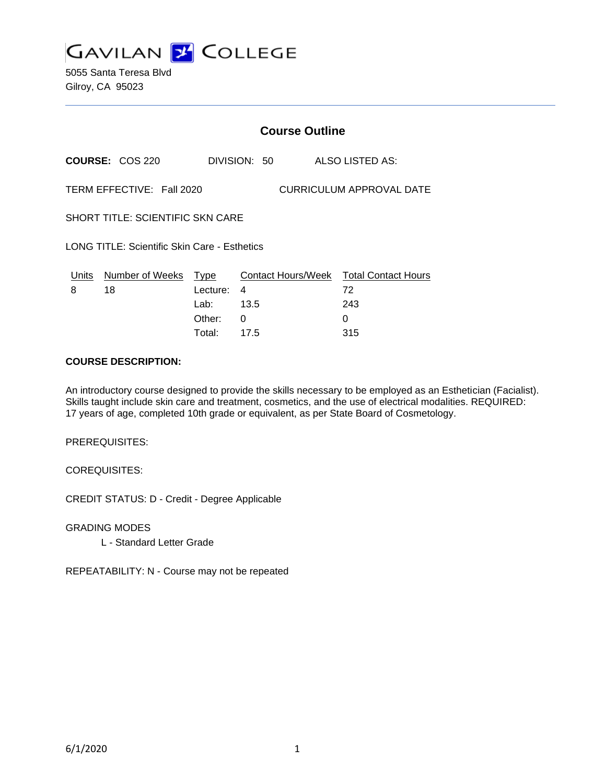

5055 Santa Teresa Blvd Gilroy, CA 95023

|                                                       |                        | <b>Course Outline</b> |              |                    |                                  |
|-------------------------------------------------------|------------------------|-----------------------|--------------|--------------------|----------------------------------|
|                                                       | <b>COURSE: COS 220</b> |                       | DIVISION: 50 |                    | ALSO LISTED AS:                  |
| TERM EFFECTIVE: Fall 2020<br>CURRICULUM APPROVAL DATE |                        |                       |              |                    |                                  |
| SHORT TITLE: SCIENTIFIC SKN CARE                      |                        |                       |              |                    |                                  |
| LONG TITLE: Scientific Skin Care - Esthetics          |                        |                       |              |                    |                                  |
| Units<br>8                                            | Number of Weeks<br>18  | Type<br>Lecture:      | 4            | Contact Hours/Week | <b>Total Contact Hours</b><br>72 |
|                                                       |                        | Lab:<br>Other:        | 13.5<br>0    |                    | 243<br>0                         |
|                                                       |                        |                       |              |                    |                                  |

#### **COURSE DESCRIPTION:**

An introductory course designed to provide the skills necessary to be employed as an Esthetician (Facialist). Skills taught include skin care and treatment, cosmetics, and the use of electrical modalities. REQUIRED: 17 years of age, completed 10th grade or equivalent, as per State Board of Cosmetology.

Total: 17.5 315

PREREQUISITES:

COREQUISITES:

CREDIT STATUS: D - Credit - Degree Applicable

GRADING MODES

L - Standard Letter Grade

REPEATABILITY: N - Course may not be repeated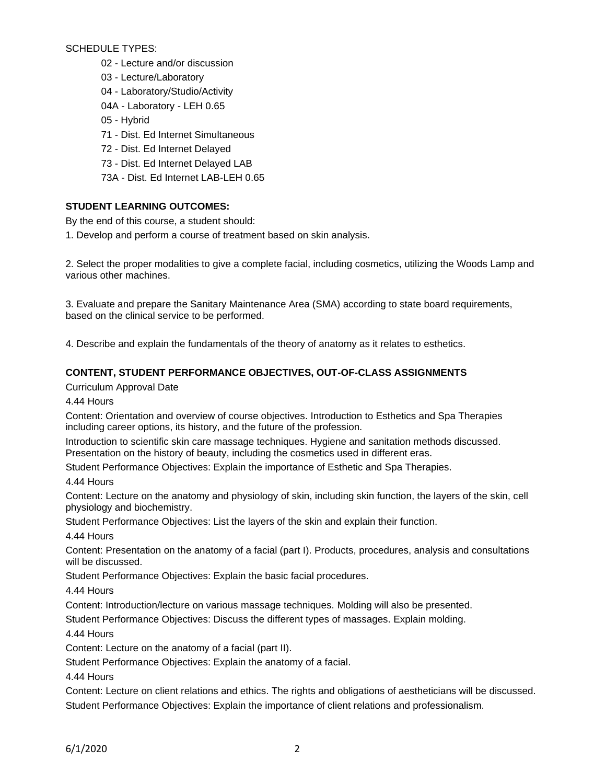SCHEDULE TYPES:

- 02 Lecture and/or discussion
- 03 Lecture/Laboratory
- 04 Laboratory/Studio/Activity
- 04A Laboratory LEH 0.65
- 05 Hybrid
- 71 Dist. Ed Internet Simultaneous
- 72 Dist. Ed Internet Delayed
- 73 Dist. Ed Internet Delayed LAB
- 73A Dist. Ed Internet LAB-LEH 0.65

# **STUDENT LEARNING OUTCOMES:**

By the end of this course, a student should:

1. Develop and perform a course of treatment based on skin analysis.

2. Select the proper modalities to give a complete facial, including cosmetics, utilizing the Woods Lamp and various other machines.

3. Evaluate and prepare the Sanitary Maintenance Area (SMA) according to state board requirements, based on the clinical service to be performed.

4. Describe and explain the fundamentals of the theory of anatomy as it relates to esthetics.

# **CONTENT, STUDENT PERFORMANCE OBJECTIVES, OUT-OF-CLASS ASSIGNMENTS**

Curriculum Approval Date

4.44 Hours

Content: Orientation and overview of course objectives. Introduction to Esthetics and Spa Therapies including career options, its history, and the future of the profession.

Introduction to scientific skin care massage techniques. Hygiene and sanitation methods discussed. Presentation on the history of beauty, including the cosmetics used in different eras.

Student Performance Objectives: Explain the importance of Esthetic and Spa Therapies.

4.44 Hours

Content: Lecture on the anatomy and physiology of skin, including skin function, the layers of the skin, cell physiology and biochemistry.

Student Performance Objectives: List the layers of the skin and explain their function.

4.44 Hours

Content: Presentation on the anatomy of a facial (part I). Products, procedures, analysis and consultations will be discussed.

Student Performance Objectives: Explain the basic facial procedures.

4.44 Hours

Content: Introduction/lecture on various massage techniques. Molding will also be presented.

Student Performance Objectives: Discuss the different types of massages. Explain molding.

4.44 Hours

Content: Lecture on the anatomy of a facial (part II).

Student Performance Objectives: Explain the anatomy of a facial.

4.44 Hours

Content: Lecture on client relations and ethics. The rights and obligations of aestheticians will be discussed. Student Performance Objectives: Explain the importance of client relations and professionalism.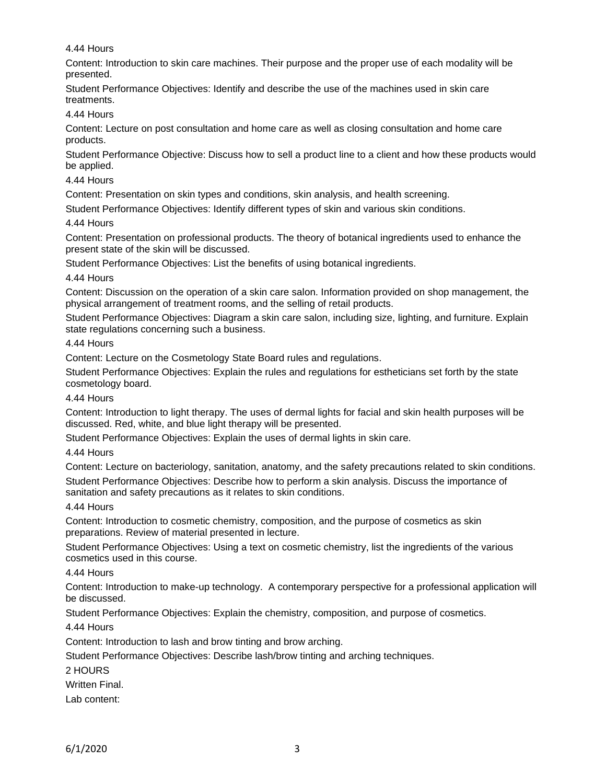### 4.44 Hours

Content: Introduction to skin care machines. Their purpose and the proper use of each modality will be presented.

Student Performance Objectives: Identify and describe the use of the machines used in skin care treatments.

### 4.44 Hours

Content: Lecture on post consultation and home care as well as closing consultation and home care products.

Student Performance Objective: Discuss how to sell a product line to a client and how these products would be applied.

### 4.44 Hours

Content: Presentation on skin types and conditions, skin analysis, and health screening.

Student Performance Objectives: Identify different types of skin and various skin conditions.

#### 4.44 Hours

Content: Presentation on professional products. The theory of botanical ingredients used to enhance the present state of the skin will be discussed.

Student Performance Objectives: List the benefits of using botanical ingredients.

#### 4.44 Hours

Content: Discussion on the operation of a skin care salon. Information provided on shop management, the physical arrangement of treatment rooms, and the selling of retail products.

Student Performance Objectives: Diagram a skin care salon, including size, lighting, and furniture. Explain state regulations concerning such a business.

### 4.44 Hours

Content: Lecture on the Cosmetology State Board rules and regulations.

Student Performance Objectives: Explain the rules and regulations for estheticians set forth by the state cosmetology board.

# 4.44 Hours

Content: Introduction to light therapy. The uses of dermal lights for facial and skin health purposes will be discussed. Red, white, and blue light therapy will be presented.

Student Performance Objectives: Explain the uses of dermal lights in skin care.

### 4.44 Hours

Content: Lecture on bacteriology, sanitation, anatomy, and the safety precautions related to skin conditions. Student Performance Objectives: Describe how to perform a skin analysis. Discuss the importance of sanitation and safety precautions as it relates to skin conditions.

### 4.44 Hours

Content: Introduction to cosmetic chemistry, composition, and the purpose of cosmetics as skin preparations. Review of material presented in lecture.

Student Performance Objectives: Using a text on cosmetic chemistry, list the ingredients of the various cosmetics used in this course.

### 4.44 Hours

Content: Introduction to make-up technology. A contemporary perspective for a professional application will be discussed.

Student Performance Objectives: Explain the chemistry, composition, and purpose of cosmetics.

### 4.44 Hours

Content: Introduction to lash and brow tinting and brow arching.

Student Performance Objectives: Describe lash/brow tinting and arching techniques.

#### 2 HOURS

Written Final.

Lab content: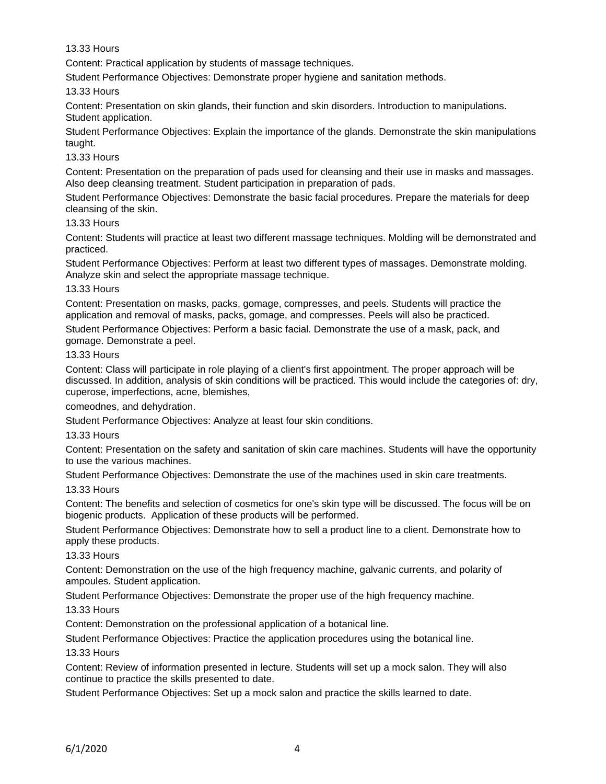### 13.33 Hours

Content: Practical application by students of massage techniques.

Student Performance Objectives: Demonstrate proper hygiene and sanitation methods.

13.33 Hours

Content: Presentation on skin glands, their function and skin disorders. Introduction to manipulations. Student application.

Student Performance Objectives: Explain the importance of the glands. Demonstrate the skin manipulations taught.

# 13.33 Hours

Content: Presentation on the preparation of pads used for cleansing and their use in masks and massages. Also deep cleansing treatment. Student participation in preparation of pads.

Student Performance Objectives: Demonstrate the basic facial procedures. Prepare the materials for deep cleansing of the skin.

# 13.33 Hours

Content: Students will practice at least two different massage techniques. Molding will be demonstrated and practiced.

Student Performance Objectives: Perform at least two different types of massages. Demonstrate molding. Analyze skin and select the appropriate massage technique.

### 13.33 Hours

Content: Presentation on masks, packs, gomage, compresses, and peels. Students will practice the application and removal of masks, packs, gomage, and compresses. Peels will also be practiced.

Student Performance Objectives: Perform a basic facial. Demonstrate the use of a mask, pack, and gomage. Demonstrate a peel.

### 13.33 Hours

Content: Class will participate in role playing of a client's first appointment. The proper approach will be discussed. In addition, analysis of skin conditions will be practiced. This would include the categories of: dry, cuperose, imperfections, acne, blemishes,

comeodnes, and dehydration.

Student Performance Objectives: Analyze at least four skin conditions.

### 13.33 Hours

Content: Presentation on the safety and sanitation of skin care machines. Students will have the opportunity to use the various machines.

Student Performance Objectives: Demonstrate the use of the machines used in skin care treatments.

### 13.33 Hours

Content: The benefits and selection of cosmetics for one's skin type will be discussed. The focus will be on biogenic products. Application of these products will be performed.

Student Performance Objectives: Demonstrate how to sell a product line to a client. Demonstrate how to apply these products.

### 13.33 Hours

Content: Demonstration on the use of the high frequency machine, galvanic currents, and polarity of ampoules. Student application.

Student Performance Objectives: Demonstrate the proper use of the high frequency machine.

13.33 Hours

Content: Demonstration on the professional application of a botanical line.

Student Performance Objectives: Practice the application procedures using the botanical line.

### 13.33 Hours

Content: Review of information presented in lecture. Students will set up a mock salon. They will also continue to practice the skills presented to date.

Student Performance Objectives: Set up a mock salon and practice the skills learned to date.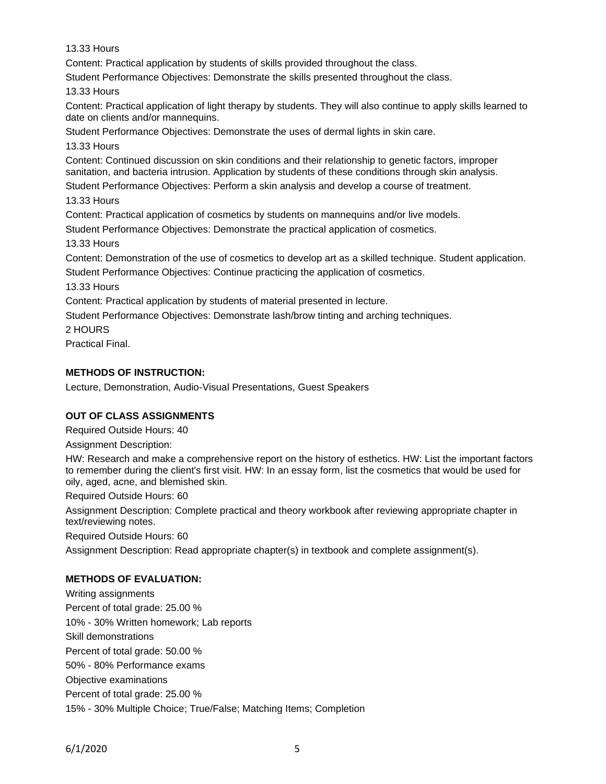13.33 Hours

Content: Practical application by students of skills provided throughout the class.

Student Performance Objectives: Demonstrate the skills presented throughout the class.

13.33 Hours

Content: Practical application of light therapy by students. They will also continue to apply skills learned to date on clients and/or mannequins.

Student Performance Objectives: Demonstrate the uses of dermal lights in skin care.

13.33 Hours

Content: Continued discussion on skin conditions and their relationship to genetic factors, improper sanitation, and bacteria intrusion. Application by students of these conditions through skin analysis.

Student Performance Objectives: Perform a skin analysis and develop a course of treatment.

13.33 Hours

Content: Practical application of cosmetics by students on mannequins and/or live models.

Student Performance Objectives: Demonstrate the practical application of cosmetics.

13.33 Hours

Content: Demonstration of the use of cosmetics to develop art as a skilled technique. Student application. Student Performance Objectives: Continue practicing the application of cosmetics.

13.33 Hours

Content: Practical application by students of material presented in lecture.

Student Performance Objectives: Demonstrate lash/brow tinting and arching techniques.

2 HOURS

Practical Final.

# **METHODS OF INSTRUCTION:**

Lecture, Demonstration, Audio-Visual Presentations, Guest Speakers

# **OUT OF CLASS ASSIGNMENTS**

Required Outside Hours: 40

Assignment Description:

HW: Research and make a comprehensive report on the history of esthetics. HW: List the important factors to remember during the client's first visit. HW: In an essay form, list the cosmetics that would be used for oily, aged, acne, and blemished skin.

Required Outside Hours: 60

Assignment Description: Complete practical and theory workbook after reviewing appropriate chapter in text/reviewing notes.

Required Outside Hours: 60

Assignment Description: Read appropriate chapter(s) in textbook and complete assignment(s).

# **METHODS OF EVALUATION:**

Writing assignments Percent of total grade: 25.00 % 10% - 30% Written homework; Lab reports Skill demonstrations Percent of total grade: 50.00 % 50% - 80% Performance exams Objective examinations Percent of total grade: 25.00 % 15% - 30% Multiple Choice; True/False; Matching Items; Completion